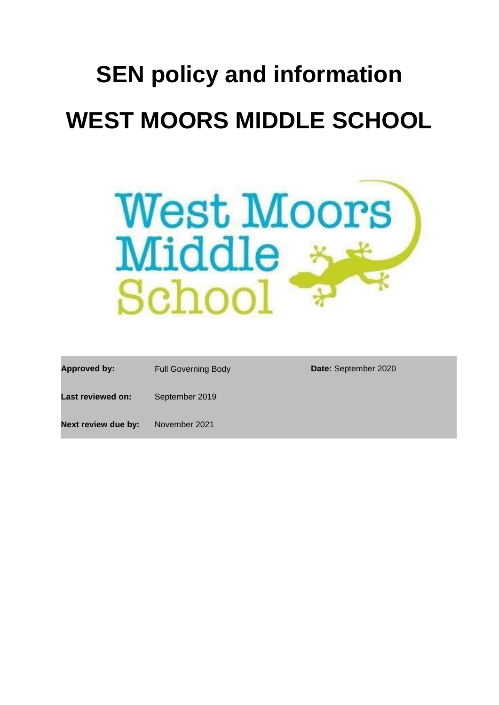# **SEN policy and information WEST MOORS MIDDLE SCHOOL**



| Approved by:        | <b>Full Governing Body</b> | Date: September 2020 |
|---------------------|----------------------------|----------------------|
| Last reviewed on:   | September 2019             |                      |
| Next review due by: | November 2021              |                      |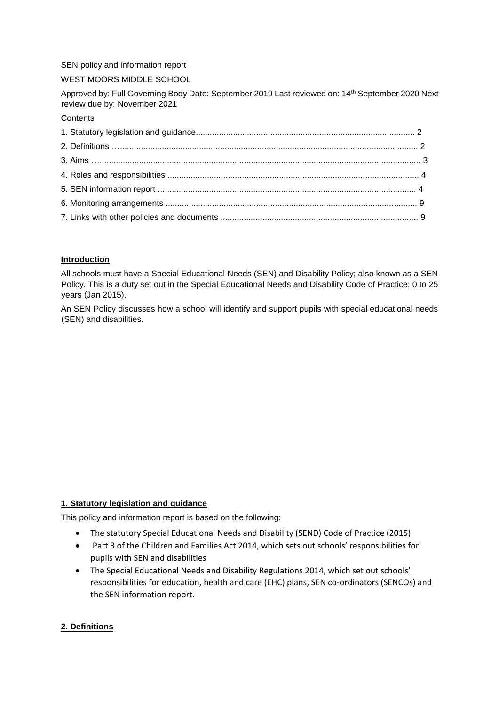SEN policy and information report

WEST MOORS MIDDLE SCHOOL

Approved by: Full Governing Body Date: September 2019 Last reviewed on: 14th September 2020 Next review due by: November 2021

## **Contents**

# **Introduction**

All schools must have a Special Educational Needs (SEN) and Disability Policy; also known as a SEN Policy. This is a duty set out in the Special Educational Needs and Disability Code of Practice: 0 to 25 years (Jan 2015).

An SEN Policy discusses how a school will identify and support pupils with special educational needs (SEN) and disabilities.

# **1. Statutory legislation and guidance**

This policy and information report is based on the following:

- The statutory Special Educational Needs and Disability (SEND) Code of Practice (2015)
- Part 3 of the Children and Families Act 2014, which sets out schools' responsibilities for pupils with SEN and disabilities
- The Special Educational Needs and Disability Regulations 2014, which set out schools' responsibilities for education, health and care (EHC) plans, SEN co-ordinators (SENCOs) and the SEN information report.

# **2. Definitions**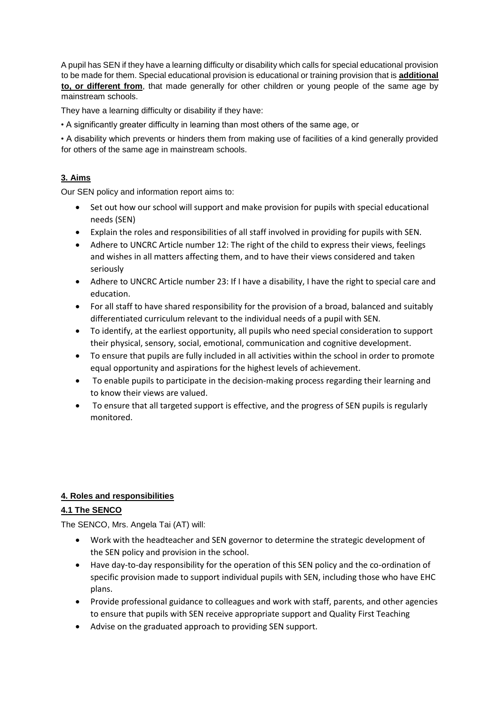A pupil has SEN if they have a learning difficulty or disability which calls for special educational provision to be made for them. Special educational provision is educational or training provision that is **additional to, or different from**, that made generally for other children or young people of the same age by mainstream schools.

They have a learning difficulty or disability if they have:

• A significantly greater difficulty in learning than most others of the same age, or

• A disability which prevents or hinders them from making use of facilities of a kind generally provided for others of the same age in mainstream schools.

# **3. Aims**

Our SEN policy and information report aims to:

- Set out how our school will support and make provision for pupils with special educational needs (SEN)
- Explain the roles and responsibilities of all staff involved in providing for pupils with SEN.
- Adhere to UNCRC Article number 12: The right of the child to express their views, feelings and wishes in all matters affecting them, and to have their views considered and taken seriously
- Adhere to UNCRC Article number 23: If I have a disability, I have the right to special care and education.
- For all staff to have shared responsibility for the provision of a broad, balanced and suitably differentiated curriculum relevant to the individual needs of a pupil with SEN.
- To identify, at the earliest opportunity, all pupils who need special consideration to support their physical, sensory, social, emotional, communication and cognitive development.
- To ensure that pupils are fully included in all activities within the school in order to promote equal opportunity and aspirations for the highest levels of achievement.
- To enable pupils to participate in the decision-making process regarding their learning and to know their views are valued.
- To ensure that all targeted support is effective, and the progress of SEN pupils is regularly monitored.

# **4. Roles and responsibilities**

# **4.1 The SENCO**

The SENCO, Mrs. Angela Tai (AT) will:

- Work with the headteacher and SEN governor to determine the strategic development of the SEN policy and provision in the school.
- Have day-to-day responsibility for the operation of this SEN policy and the co-ordination of specific provision made to support individual pupils with SEN, including those who have EHC plans.
- Provide professional guidance to colleagues and work with staff, parents, and other agencies to ensure that pupils with SEN receive appropriate support and Quality First Teaching
- Advise on the graduated approach to providing SEN support.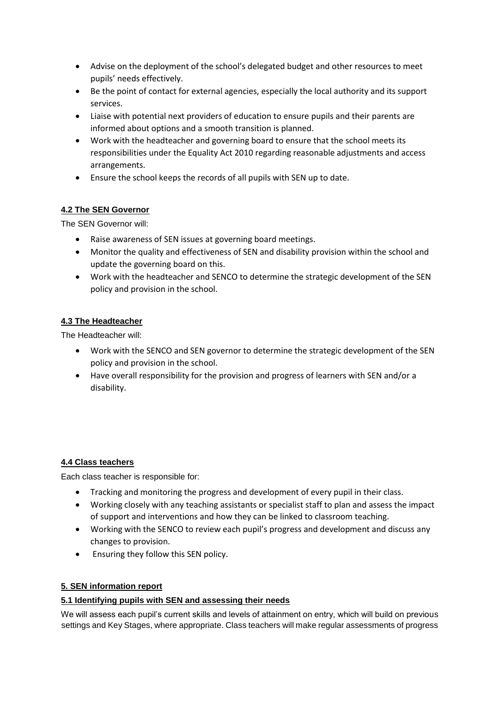- Advise on the deployment of the school's delegated budget and other resources to meet pupils' needs effectively.
- Be the point of contact for external agencies, especially the local authority and its support services.
- Liaise with potential next providers of education to ensure pupils and their parents are informed about options and a smooth transition is planned.
- Work with the headteacher and governing board to ensure that the school meets its responsibilities under the Equality Act 2010 regarding reasonable adjustments and access arrangements.
- Ensure the school keeps the records of all pupils with SEN up to date.

# **4.2 The SEN Governor**

The SEN Governor will:

- Raise awareness of SEN issues at governing board meetings.
- Monitor the quality and effectiveness of SEN and disability provision within the school and update the governing board on this.
- Work with the headteacher and SENCO to determine the strategic development of the SEN policy and provision in the school.

# **4.3 The Headteacher**

The Headteacher will:

- Work with the SENCO and SEN governor to determine the strategic development of the SEN policy and provision in the school.
- Have overall responsibility for the provision and progress of learners with SEN and/or a disability.

# **4.4 Class teachers**

Each class teacher is responsible for:

- Tracking and monitoring the progress and development of every pupil in their class.
- Working closely with any teaching assistants or specialist staff to plan and assess the impact of support and interventions and how they can be linked to classroom teaching.
- Working with the SENCO to review each pupil's progress and development and discuss any changes to provision.
- Ensuring they follow this SEN policy.

# **5. SEN information report**

# **5.1 Identifying pupils with SEN and assessing their needs**

We will assess each pupil's current skills and levels of attainment on entry, which will build on previous settings and Key Stages, where appropriate. Class teachers will make regular assessments of progress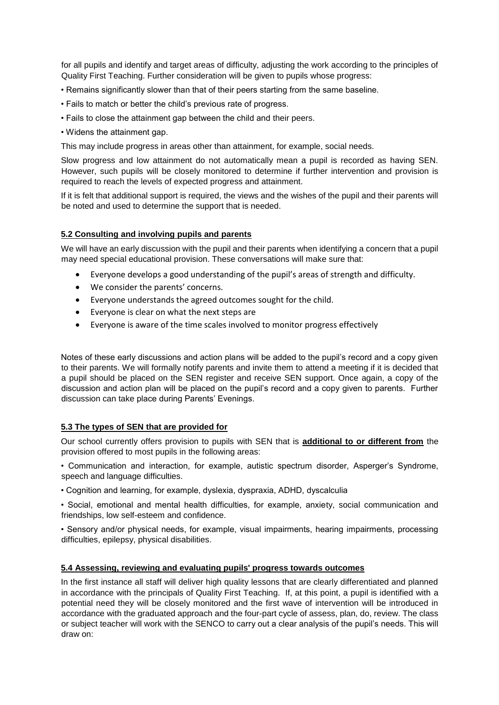for all pupils and identify and target areas of difficulty, adjusting the work according to the principles of Quality First Teaching. Further consideration will be given to pupils whose progress:

- Remains significantly slower than that of their peers starting from the same baseline.
- Fails to match or better the child's previous rate of progress.
- Fails to close the attainment gap between the child and their peers.
- Widens the attainment gap.

This may include progress in areas other than attainment, for example, social needs.

Slow progress and low attainment do not automatically mean a pupil is recorded as having SEN. However, such pupils will be closely monitored to determine if further intervention and provision is required to reach the levels of expected progress and attainment.

If it is felt that additional support is required, the views and the wishes of the pupil and their parents will be noted and used to determine the support that is needed.

#### **5.2 Consulting and involving pupils and parents**

We will have an early discussion with the pupil and their parents when identifying a concern that a pupil may need special educational provision. These conversations will make sure that:

- Everyone develops a good understanding of the pupil's areas of strength and difficulty.
- We consider the parents' concerns.
- Everyone understands the agreed outcomes sought for the child.
- Everyone is clear on what the next steps are
- Everyone is aware of the time scales involved to monitor progress effectively

Notes of these early discussions and action plans will be added to the pupil's record and a copy given to their parents. We will formally notify parents and invite them to attend a meeting if it is decided that a pupil should be placed on the SEN register and receive SEN support. Once again, a copy of the discussion and action plan will be placed on the pupil's record and a copy given to parents. Further discussion can take place during Parents' Evenings.

#### **5.3 The types of SEN that are provided for**

Our school currently offers provision to pupils with SEN that is **additional to or different from** the provision offered to most pupils in the following areas:

• Communication and interaction, for example, autistic spectrum disorder, Asperger's Syndrome, speech and language difficulties.

• Cognition and learning, for example, dyslexia, dyspraxia, ADHD, dyscalculia

• Social, emotional and mental health difficulties, for example, anxiety, social communication and friendships, low self-esteem and confidence.

• Sensory and/or physical needs, for example, visual impairments, hearing impairments, processing difficulties, epilepsy, physical disabilities.

# **5.4 Assessing, reviewing and evaluating pupils' progress towards outcomes**

In the first instance all staff will deliver high quality lessons that are clearly differentiated and planned in accordance with the principals of Quality First Teaching. If, at this point, a pupil is identified with a potential need they will be closely monitored and the first wave of intervention will be introduced in accordance with the graduated approach and the four-part cycle of assess, plan, do, review. The class or subject teacher will work with the SENCO to carry out a clear analysis of the pupil's needs. This will draw on: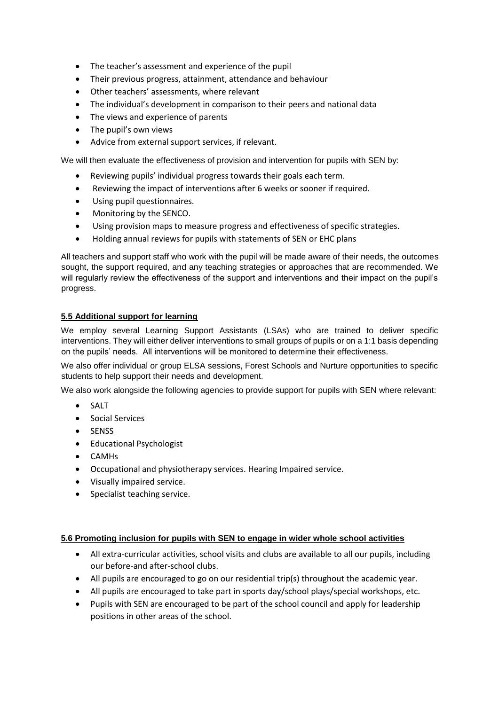- The teacher's assessment and experience of the pupil
- Their previous progress, attainment, attendance and behaviour
- Other teachers' assessments, where relevant
- The individual's development in comparison to their peers and national data
- The views and experience of parents
- The pupil's own views
- Advice from external support services, if relevant.

We will then evaluate the effectiveness of provision and intervention for pupils with SEN by:

- Reviewing pupils' individual progress towards their goals each term.
- Reviewing the impact of interventions after 6 weeks or sooner if required.
- Using pupil questionnaires.
- Monitoring by the SENCO.
- Using provision maps to measure progress and effectiveness of specific strategies.
- Holding annual reviews for pupils with statements of SEN or EHC plans

All teachers and support staff who work with the pupil will be made aware of their needs, the outcomes sought, the support required, and any teaching strategies or approaches that are recommended. We will regularly review the effectiveness of the support and interventions and their impact on the pupil's progress.

## **5.5 Additional support for learning**

We employ several Learning Support Assistants (LSAs) who are trained to deliver specific interventions. They will either deliver interventions to small groups of pupils or on a 1:1 basis depending on the pupils' needs. All interventions will be monitored to determine their effectiveness.

We also offer individual or group ELSA sessions, Forest Schools and Nurture opportunities to specific students to help support their needs and development.

We also work alongside the following agencies to provide support for pupils with SEN where relevant:

- SALT
- **•** Social Services
- SENSS
- Educational Psychologist
- CAMHs
- Occupational and physiotherapy services. Hearing Impaired service.
- Visually impaired service.
- Specialist teaching service.

## **5.6 Promoting inclusion for pupils with SEN to engage in wider whole school activities**

- All extra-curricular activities, school visits and clubs are available to all our pupils, including our before-and after-school clubs.
- All pupils are encouraged to go on our residential trip(s) throughout the academic year.
- All pupils are encouraged to take part in sports day/school plays/special workshops, etc.
- Pupils with SEN are encouraged to be part of the school council and apply for leadership positions in other areas of the school.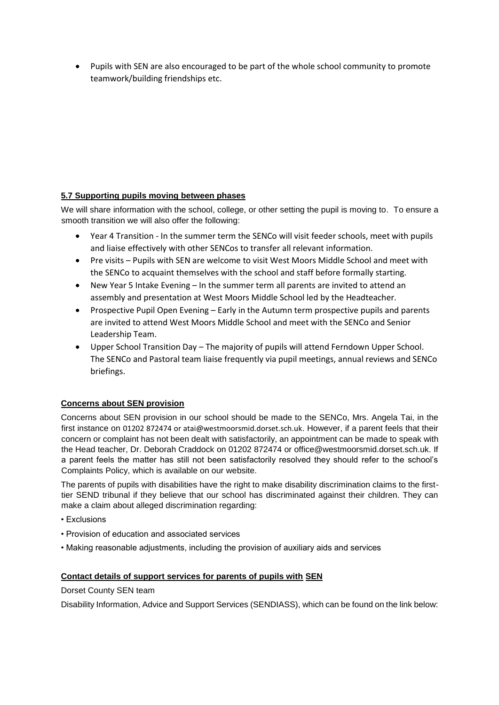Pupils with SEN are also encouraged to be part of the whole school community to promote teamwork/building friendships etc.

# **5.7 Supporting pupils moving between phases**

We will share information with the school, college, or other setting the pupil is moving to. To ensure a smooth transition we will also offer the following:

- Year 4 Transition In the summer term the SENCo will visit feeder schools, meet with pupils and liaise effectively with other SENCos to transfer all relevant information.
- Pre visits Pupils with SEN are welcome to visit West Moors Middle School and meet with the SENCo to acquaint themselves with the school and staff before formally starting.
- New Year 5 Intake Evening In the summer term all parents are invited to attend an assembly and presentation at West Moors Middle School led by the Headteacher.
- Prospective Pupil Open Evening Early in the Autumn term prospective pupils and parents are invited to attend West Moors Middle School and meet with the SENCo and Senior Leadership Team.
- Upper School Transition Day The majority of pupils will attend Ferndown Upper School. The SENCo and Pastoral team liaise frequently via pupil meetings, annual reviews and SENCo briefings.

# **Concerns about SEN provision**

Concerns about SEN provision in our school should be made to the SENCo, Mrs. Angela Tai, in the first instance on 01202 872474 or atai@westmoorsmid.dorset.sch.uk. However, if a parent feels that their concern or complaint has not been dealt with satisfactorily, an appointment can be made to speak with the Head teacher, Dr. Deborah Craddock on 01202 872474 or office@westmoorsmid.dorset.sch.uk. If a parent feels the matter has still not been satisfactorily resolved they should refer to the school's Complaints Policy, which is available on our website.

The parents of pupils with disabilities have the right to make disability discrimination claims to the firsttier SEND tribunal if they believe that our school has discriminated against their children. They can make a claim about alleged discrimination regarding:

- Exclusions
- Provision of education and associated services
- Making reasonable adjustments, including the provision of auxiliary aids and services

## **Contact details of support services for parents of pupils with SEN**

Dorset County SEN team

Disability Information, Advice and Support Services (SENDIASS), which can be found on the link below: